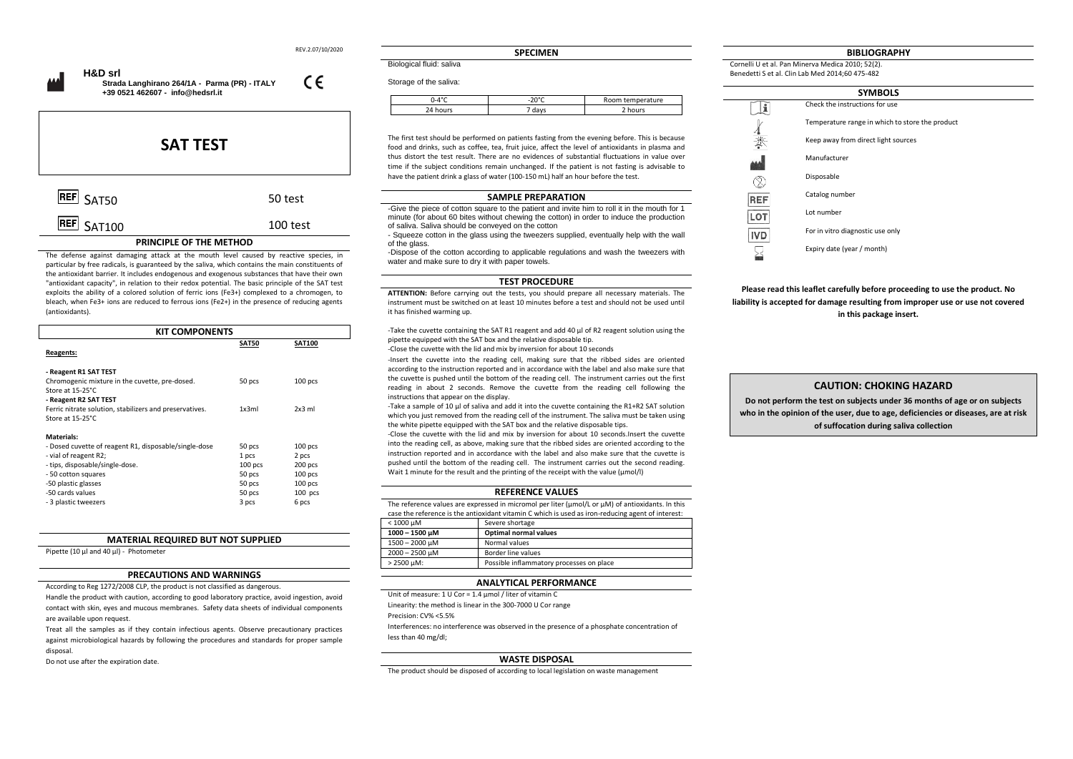REV.2.07/10/2020

 $\epsilon$ 

 **H&D srl Strada Langhirano 264/1A - Parma (PR) - ITALY +39 0521 462607 - [info@hedsrl.it](mailto:info@hedsrl.it)** 

# **SAT TEST**  $\overline{\text{REF}}$  SAT50 50 test

## $\overline{\text{REF}}$   $\varsigma_{\Delta \text{T100}}$  100 test **PRINCIPLE OF THE METHOD**

The defense against damaging attack at the mouth level caused by reactive species, in particular by free radicals, is guaranteed by the saliva, which contains the main constituents of the antioxidant barrier. It includes endogenous and exogenous substances that have their own "antioxidant capacity", in relation to their redox potential. The basic principle of the SAT test exploits the ability of a colored solution of ferric ions (Fe3+) complexed to a chromogen, to bleach, when Fe3+ ions are reduced to ferrous ions (Fe2+) in the presence of reducing agents (antioxidants).

| <b>KIT COMPONENTS</b>                                                                                                                                                            |                                        |                                            |
|----------------------------------------------------------------------------------------------------------------------------------------------------------------------------------|----------------------------------------|--------------------------------------------|
| Reagents:                                                                                                                                                                        | <b>SAT50</b>                           | <b>SAT100</b>                              |
| - Reagent R1 SAT TEST<br>Chromogenic mixture in the cuvette, pre-dosed.<br>Store at 15-25°C.<br>- Reagent R2 SAT TEST<br>Ferric nitrate solution, stabilizers and preservatives. | 50 pcs<br>1x3ml                        | $100$ pcs<br>$2x3$ ml                      |
| Store at 15-25°C.<br><b>Materials:</b><br>- Dosed cuvette of reagent R1, disposable/single-dose                                                                                  | 50 pcs                                 | $100$ pcs                                  |
| - vial of reagent R2;<br>- tips, disposable/single-dose.<br>- 50 cotton squares<br>-50 plastic glasses                                                                           | 1 pcs<br>$100$ pcs<br>50 pcs<br>50 pcs | 2 pcs<br>200 pcs<br>$100$ pcs<br>$100$ pcs |
| -50 cards values<br>- 3 plastic tweezers                                                                                                                                         | 50 pcs<br>3 pcs                        | $100$ pcs<br>6 pcs                         |

### **MATERIAL REQUIRED BUT NOT SUPPLIED**

Pipette (10 µl and 40 µl) - Photometer

## **PRECAUTIONS AND WARNINGS**

According to Reg 1272/2008 CLP, the product is not classified as dangerous.

Handle the product with caution, according to good laboratory practice, avoid ingestion, avoid contact with skin, eyes and mucous membranes. Safety data sheets of individual components are available upon request.

Treat all the samples as if they contain infectious agents. Observe precautionary practices against microbiological hazards by following the procedures and standards for proper sample disposal.

Do not use after the expiration date.

**SPECIMEN**

Biological fluid: saliva

| Storage of the saliva: |  |  |
|------------------------|--|--|
|                        |  |  |

| $0-4$ °C | nner | Room temperature   |
|----------|------|--------------------|
| hours    | davs | <sup>n</sup> hours |

The first test should be performed on patients fasting from the evening before. This is because food and drinks, such as coffee, tea, fruit juice, affect the level of antioxidants in plasma and thus distort the test result. There are no evidences of substantial fluctuations in value over time if the subject conditions remain unchanged. If the patient is not fasting is advisable to have the patient drink a glass of water (100-150 mL) half an hour before the test.

#### **SAMPLE PREPARATION**

-Give the piece of cotton square to the patient and invite him to roll it in the mouth for 1 minute (for about 60 bites without chewing the cotton) in order to induce the production of saliva. Saliva should be conveyed on the cotton

- Squeeze cotton in the glass using the tweezers supplied, eventually help with the wall of the glass.

-Dispose of the cotton according to applicable regulations and wash the tweezers with water and make sure to dry it with paper towels.

#### **TEST PROCEDURE**

**ATTENTION:** Before carrying out the tests, you should prepare all necessary materials. The instrument must be switched on at least 10 minutes before a test and should not be used until it has finished warming up.

-Take the cuvette containing the SAT R1 reagent and add 40 µl of R2 reagent solution using the pipette equipped with the SAT box and the relative disposable tip.

-Close the cuvette with the lid and mix by inversion for about 10 seconds

-Insert the cuvette into the reading cell, making sure that the ribbed sides are oriented according to the instruction reported and in accordance with the label and also make sure that the cuvette is pushed until the bottom of the reading cell. The instrument carries out the first reading in about 2 seconds. Remove the cuvette from the reading cell following the instructions that appear on the display.

-Take a sample of 10 µl of saliva and add it into the cuvette containing the R1+R2 SAT solution which you just removed from the reading cell of the instrument. The saliva must be taken using the white pipette equipped with the SAT box and the relative disposable tips.

-Close the cuvette with the lid and mix by inversion for about 10 seconds.Insert the cuvette into the reading cell, as above, making sure that the ribbed sides are oriented according to the instruction reported and in accordance with the label and also make sure that the cuvette is pushed until the bottom of the reading cell. The instrument carries out the second reading. Wait 1 minute for the result and the printing of the receipt with the value (umol/l)

#### **REFERENCE VALUES**

The reference values are expressed in micromol per liter (umol/L or uM) of antioxidants. In this case the reference is the antioxidant vitamin C which is used as iron-reducing agent of interest:<br> $\sqrt{1 - \frac{1000 \text{ m}}{2000 \text{ m}}}$ Severe shortage

| $\sim$ 1000 MIVI.   | <b>SCACLE SHOLDING</b>                   |
|---------------------|------------------------------------------|
| 1000 - 1500 μM      | <b>Optimal normal values</b>             |
| 1500 - 2000 uM      | Normal values                            |
| $2000 - 2500 \mu M$ | Border line values                       |
| $> 2500 \mu M$ :    | Possible inflammatory processes on place |

## **ANALYTICAL PERFORMANCE**

Unit of measure: 1 U Cor = 1.4 μmol / liter of vitamin C Linearity: the method is linear in the 300-7000 U Cor range Precision: CV% <5.5% Interferences: no interference was observed in the presence of a phosphate concentration of less than 40 mg/dl;

## **WASTE DISPOSAL**

The product should be disposed of according to local legislation on waste management

#### **BIBLIOGRAPHY**

Cornelli U et al. Pan Minerva Medica 2010; 52(2). Benedetti S et al. Clin Lab Med 2014;60 475-482

| <b>SYMBOLS</b> |                                                 |  |
|----------------|-------------------------------------------------|--|
|                | Check the instructions for use                  |  |
|                | Temperature range in which to store the product |  |
| 漛              | Keep away from direct light sources             |  |
|                | Manufacturer                                    |  |
|                | Disposable                                      |  |
| <b>REF</b>     | Catalog number                                  |  |
| LO.            | Lot number                                      |  |
| <b>IVD</b>     | For in vitro diagnostic use only                |  |
|                | Expiry date (year / month)                      |  |

**Please read this leaflet carefully before proceeding to use the product. No liability is accepted for damage resulting from improper use or use not covered in this package insert.**

## **CAUTION: CHOKING HAZARD**

**Do not perform the test on subjects under 36 months of age or on subjects who in the opinion of the user, due to age, deficiencies or diseases, are at risk of suffocation during saliva collection**